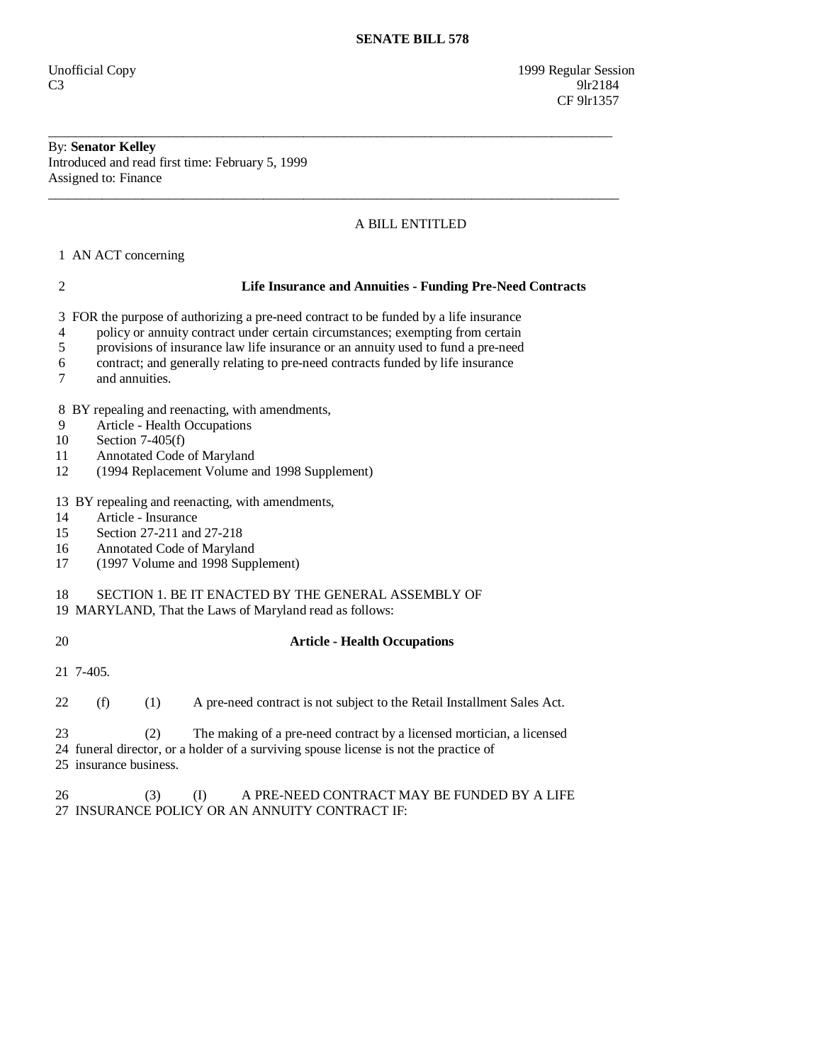Unofficial Copy 1999 Regular Session  $C3$  9lr2184 CF 9lr1357

## By: **Senator Kelley**  Introduced and read first time: February 5, 1999 Assigned to: Finance

## A BILL ENTITLED

\_\_\_\_\_\_\_\_\_\_\_\_\_\_\_\_\_\_\_\_\_\_\_\_\_\_\_\_\_\_\_\_\_\_\_\_\_\_\_\_\_\_\_\_\_\_\_\_\_\_\_\_\_\_\_\_\_\_\_\_\_\_\_\_\_\_\_\_\_\_\_\_\_\_\_\_\_\_\_\_\_\_\_\_

\_\_\_\_\_\_\_\_\_\_\_\_\_\_\_\_\_\_\_\_\_\_\_\_\_\_\_\_\_\_\_\_\_\_\_\_\_\_\_\_\_\_\_\_\_\_\_\_\_\_\_\_\_\_\_\_\_\_\_\_\_\_\_\_\_\_\_\_\_\_\_\_\_\_\_\_\_\_\_\_\_\_\_\_\_

1 AN ACT concerning

| $\overline{2}$                     | <b>Life Insurance and Annuities - Funding Pre-Need Contracts</b>                                                                                                                                                                                                                                                                                               |
|------------------------------------|----------------------------------------------------------------------------------------------------------------------------------------------------------------------------------------------------------------------------------------------------------------------------------------------------------------------------------------------------------------|
| 3<br>$\overline{4}$<br>5<br>6<br>7 | FOR the purpose of authorizing a pre-need contract to be funded by a life insurance<br>policy or annuity contract under certain circumstances; exempting from certain<br>provisions of insurance law life insurance or an annuity used to fund a pre-need<br>contract; and generally relating to pre-need contracts funded by life insurance<br>and annuities. |
| 8                                  | BY repealing and reenacting, with amendments,                                                                                                                                                                                                                                                                                                                  |
| 9                                  | Article - Health Occupations                                                                                                                                                                                                                                                                                                                                   |
| 10                                 | Section $7-405(f)$                                                                                                                                                                                                                                                                                                                                             |
| 11<br>12                           | Annotated Code of Maryland                                                                                                                                                                                                                                                                                                                                     |
|                                    | (1994 Replacement Volume and 1998 Supplement)                                                                                                                                                                                                                                                                                                                  |
| 14<br>15                           | 13 BY repealing and reenacting, with amendments,<br>Article - Insurance<br>Section 27-211 and 27-218                                                                                                                                                                                                                                                           |
| 16                                 | Annotated Code of Maryland                                                                                                                                                                                                                                                                                                                                     |
| 17                                 | (1997 Volume and 1998 Supplement)                                                                                                                                                                                                                                                                                                                              |
| 18                                 | SECTION 1. BE IT ENACTED BY THE GENERAL ASSEMBLY OF<br>19 MARYLAND, That the Laws of Maryland read as follows:                                                                                                                                                                                                                                                 |
| 20                                 | <b>Article - Health Occupations</b>                                                                                                                                                                                                                                                                                                                            |
|                                    | 21 7-405.                                                                                                                                                                                                                                                                                                                                                      |
| 22                                 | (f)<br>(1)<br>A pre-need contract is not subject to the Retail Installment Sales Act.                                                                                                                                                                                                                                                                          |
| 23                                 | The making of a pre-need contract by a licensed mortician, a licensed<br>(2)<br>24 funeral director, or a holder of a surviving spouse license is not the practice of<br>25 insurance business.                                                                                                                                                                |

26 (3) (I) A PRE-NEED CONTRACT MAY BE FUNDED BY A LIFE 27 INSURANCE POLICY OR AN ANNUITY CONTRACT IF: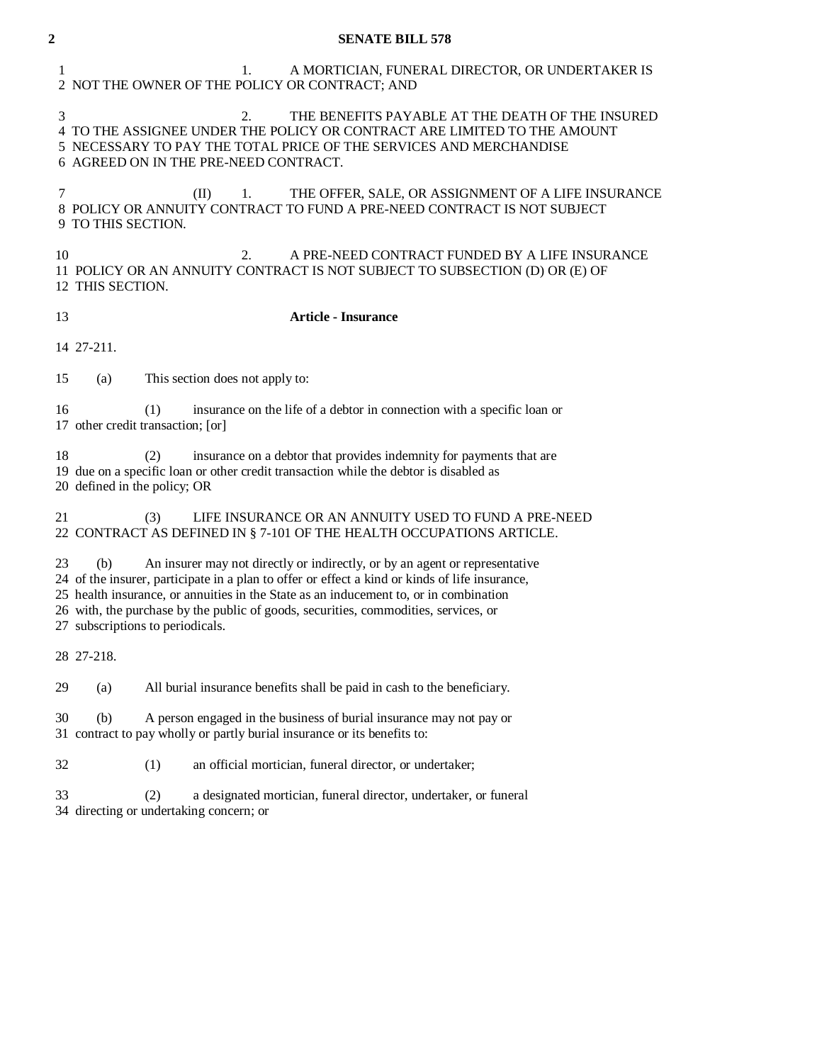| $\boldsymbol{2}$ | <b>SENATE BILL 578</b>                                                                                                                                                                                                                                                                                                                                                                                   |
|------------------|----------------------------------------------------------------------------------------------------------------------------------------------------------------------------------------------------------------------------------------------------------------------------------------------------------------------------------------------------------------------------------------------------------|
| 1                | A MORTICIAN, FUNERAL DIRECTOR, OR UNDERTAKER IS<br>1.<br>2 NOT THE OWNER OF THE POLICY OR CONTRACT; AND                                                                                                                                                                                                                                                                                                  |
| 3                | 2.<br>THE BENEFITS PAYABLE AT THE DEATH OF THE INSURED<br>4 TO THE ASSIGNEE UNDER THE POLICY OR CONTRACT ARE LIMITED TO THE AMOUNT<br>5 NECESSARY TO PAY THE TOTAL PRICE OF THE SERVICES AND MERCHANDISE<br>6 AGREED ON IN THE PRE-NEED CONTRACT.                                                                                                                                                        |
| 7                | THE OFFER, SALE, OR ASSIGNMENT OF A LIFE INSURANCE<br>(II)<br>1.<br>8 POLICY OR ANNUITY CONTRACT TO FUND A PRE-NEED CONTRACT IS NOT SUBJECT<br>9 TO THIS SECTION.                                                                                                                                                                                                                                        |
| 10               | 2.<br>A PRE-NEED CONTRACT FUNDED BY A LIFE INSURANCE<br>11 POLICY OR AN ANNUITY CONTRACT IS NOT SUBJECT TO SUBSECTION (D) OR (E) OF<br>12 THIS SECTION.                                                                                                                                                                                                                                                  |
| 13               | <b>Article - Insurance</b>                                                                                                                                                                                                                                                                                                                                                                               |
|                  | 14 27-211.                                                                                                                                                                                                                                                                                                                                                                                               |
| 15               | This section does not apply to:<br>(a)                                                                                                                                                                                                                                                                                                                                                                   |
| 16               | insurance on the life of a debtor in connection with a specific loan or<br>(1)<br>17 other credit transaction; [or]                                                                                                                                                                                                                                                                                      |
| 18               | insurance on a debtor that provides indemnity for payments that are<br>(2)<br>19 due on a specific loan or other credit transaction while the debtor is disabled as<br>20 defined in the policy; OR                                                                                                                                                                                                      |
| 21               | LIFE INSURANCE OR AN ANNUITY USED TO FUND A PRE-NEED<br>(3)<br>22 CONTRACT AS DEFINED IN § 7-101 OF THE HEALTH OCCUPATIONS ARTICLE.                                                                                                                                                                                                                                                                      |
| 23               | An insurer may not directly or indirectly, or by an agent or representative<br>(b)<br>24 of the insurer, participate in a plan to offer or effect a kind or kinds of life insurance,<br>25 health insurance, or annuities in the State as an inducement to, or in combination<br>26 with, the purchase by the public of goods, securities, commodities, services, or<br>27 subscriptions to periodicals. |
|                  | 28 27-218.                                                                                                                                                                                                                                                                                                                                                                                               |
| 29               | (a)<br>All burial insurance benefits shall be paid in cash to the beneficiary.                                                                                                                                                                                                                                                                                                                           |
| 30               | (b)<br>A person engaged in the business of burial insurance may not pay or<br>31 contract to pay wholly or partly burial insurance or its benefits to:                                                                                                                                                                                                                                                   |
| 32               | an official mortician, funeral director, or undertaker;<br>(1)                                                                                                                                                                                                                                                                                                                                           |
| 33               | (2)<br>a designated mortician, funeral director, undertaker, or funeral<br>34 directing or undertaking concern; or                                                                                                                                                                                                                                                                                       |